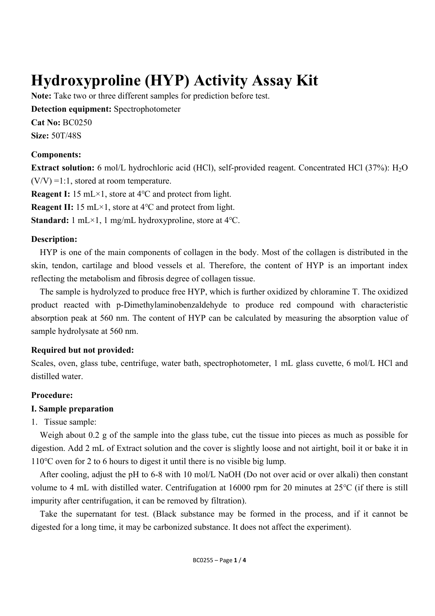# **Hydroxyproline (HYP) Activity Assay Kit**

**Note:** Take two or three different samples for prediction before test.

**Detection equipment:** Spectrophotometer

**Cat No:** BC0250

**Size:** 50T/48S

#### **Components:**

**Extract solution:** 6 mol/L hydrochloric acid (HCl), self-provided reagent. Concentrated HCl (37%): H<sub>2</sub>O  $(V/V) = 1:1$ , stored at room temperature.

**Reagent I:** 15 mL×1, store at 4℃ and protect from light.

**Reagent II:** 15 mL×1, store at 4℃ and protect from light.

**Standard:** 1 mL×1, 1 mg/mL hydroxyproline, store at 4℃.

### **Description:**

HYP is one of the main components of collagen in the body. Most of the collagen is distributed in the skin, tendon, cartilage and blood vessels et al. Therefore, the content of HYP is an important index reflecting the metabolism and fibrosis degree of collagen tissue.

The sample is hydrolyzed to produce free HYP, which is further oxidized by chloramine T. The oxidized product reacted with p-Dimethylaminobenzaldehyde to produce red compound with characteristic absorption peak at 560 nm. The content of HYP can be calculated by measuring the absorption value of sample hydrolysate at 560 nm.

## **Required but not provided:**

Scales, oven, glass tube, centrifuge, water bath, spectrophotometer, 1 mL glass cuvette, 6 mol/L HCl and distilled water.

## **Procedure:**

## **Ⅰ. Sample preparation**

## 1. Tissue sample:

Weigh about 0.2 g of the sample into the glass tube, cut the tissue into pieces as much as possible for digestion. Add 2 mL of Extract solution and the cover is slightly loose and not airtight, boil it or bake it in 110℃ oven for 2 to 6 hours to digest it until there is no visible big lump.

After cooling, adjust the pH to 6-8 with 10 mol/L NaOH (Do not over acid or over alkali) then constant volume to 4 mL with distilled water. Centrifugation at 16000 rpm for 20 minutes at 25℃ (if there is still impurity after centrifugation, it can be removed by filtration).

Take the supernatant for test. (Black substance may be formed in the process, and if it cannot be digested for a long time, it may be carbonized substance. It does not affect the experiment).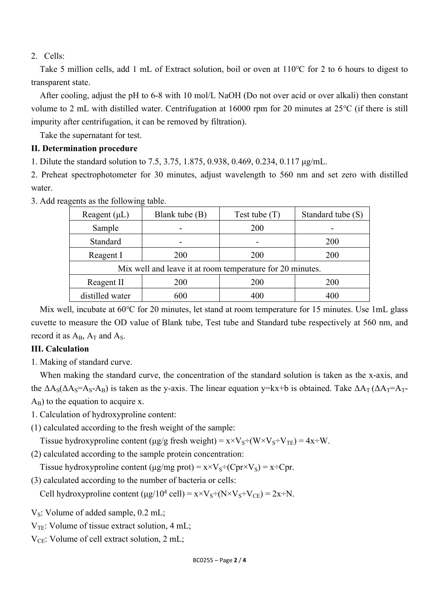#### 2. Cells:

Take 5 million cells, add 1 mL of Extract solution, boil or oven at 110℃ for 2 to 6 hours to digest to transparent state.

After cooling, adjust the pH to 6-8 with 10 mol/L NaOH (Do not over acid or over alkali) then constant volume to 2 mL with distilled water. Centrifugation at 16000 rpm for 20 minutes at 25℃ (if there is still impurity after centrifugation, it can be removed by filtration).

Take the supernatant for test.

#### **II. Determination procedure**

1. Dilute the standard solution to 7.5, 3.75, 1.875, 0.938, 0.469, 0.234, 0.117 μg/mL.

2. Preheat spectrophotometer for 30 minutes, adjust wavelength to 560 nm and set zero with distilled water.

| Reagent $(\mu L)$                                         | Blank tube (B) | Test tube $(T)$ | Standard tube (S) |
|-----------------------------------------------------------|----------------|-----------------|-------------------|
| Sample                                                    |                | <b>200</b>      |                   |
| Standard                                                  |                |                 | <b>200</b>        |
| Reagent I                                                 | <b>200</b>     | <b>200</b>      | 200               |
| Mix well and leave it at room temperature for 20 minutes. |                |                 |                   |
| Reagent II                                                | 200            | <b>200</b>      | <b>200</b>        |
| distilled water                                           | 600            |                 |                   |

3. Add reagents as the following table.

Mix well, incubate at 60℃ for 20 minutes, let stand at room temperature for 15 minutes. Use 1mL glass cuvette to measure the OD value of Blank tube, Test tube and Standard tube respectively at 560 nm, and record it as  $A_B$ ,  $A_T$  and  $A_S$ .

#### **III. Calculation**

1. Making of standard curve.

When making the standard curve, the concentration of the standard solution is taken as the x-axis, and the  $\Delta A_S(\Delta A_S = A_S - A_B)$  is taken as the y-axis. The linear equation y=kx+b is obtained. Take  $\Delta A_T (\Delta A_T = A_T - A_B)$  $A_B$ ) to the equation to acquire x.

1. Calculation of hydroxyproline content:

(1) calculated according to the fresh weight of the sample:

Tissue hydroxyproline content (μg/g fresh weight) =  $x \times V_s \div (W \times V_s \div V_{TE}) = 4x \div W$ .

(2) calculated according to the sample protein concentration:

Tissue hydroxyproline content (μg/mg prot) =  $x \times V_s \div (Cpr \times V_s) = x \div Cpr$ .

(3) calculated according to the number of bacteria or cells:

Cell hydroxyproline content  $(\mu g/10^4 \text{ cell}) = x \times V_s \div (N \times V_s \div V_{CE}) = 2x \div N$ .

 $V_s$ : Volume of added sample, 0.2 mL;

 $V_{TE}$ : Volume of tissue extract solution, 4 mL;

 $V_{CE}$ : Volume of cell extract solution, 2 mL;